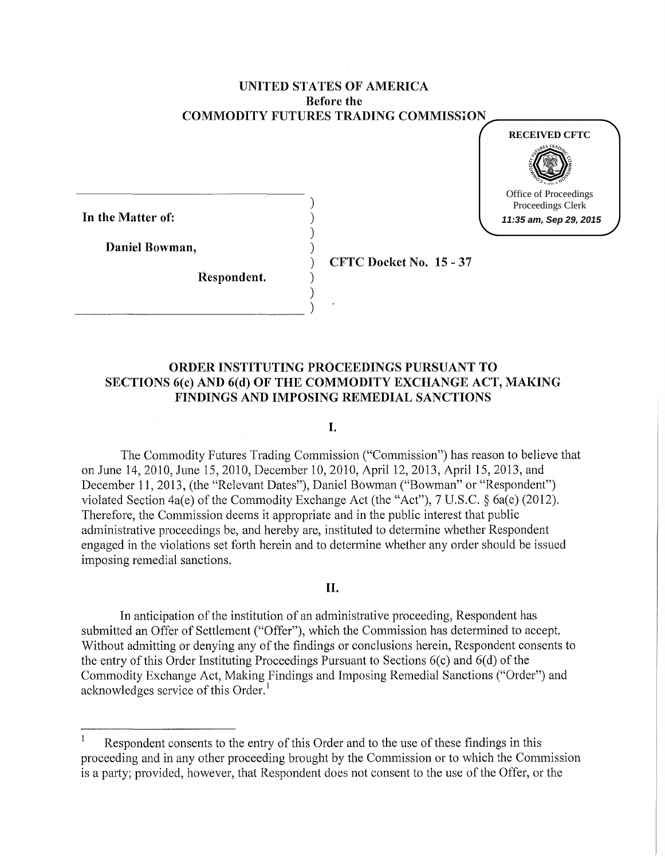# UNITED STATES OF AMERICA Before the COMMODITY FUTURES TRADING COMMISSION

)

)

)



In the Matter of:

Daniel Bowman, )

Respondent. )

 $\frac{1}{2}$ 

) CFTC Docket No. 15-37

# ORDER INSTITUTING PROCEEDINGS PURSUANT TO SECTIONS 6(c) AND 6(d) OF THE COMMODITY EXCHANGE ACT, MAKING FINDINGS AND IMPOSING REMEDIAL SANCTIONS

#### I.

The Commodity Futures Trading Commission ("Commission") has reason to believe that on June 14, 2010, June 15, 2010, December 10, 2010, April 12, 2013, April 15, 2013, and December 11, 2013, (the "Relevant Dates"), Daniel Bowman ("Bowman" or "Respondent") violated Section 4a(e) of the Commodity Exchange Act (the "Act"), 7 U.S.C. § 6a(e) (2012). Therefore, the Commission deems it appropriate and in the public interest that public administrative proceedings be, and hereby are, instituted to determine whether Respondent engaged in the violations set forth herein and to determine whether any order should be issued imposing remedial sanctions.

## II.

In anticipation of the institution of an administrative proceeding, Respondent has submitted an Offer of Settlement ("Offer"), which the Commission has determined to accept. Without admitting or denying any of the findings or conclusions herein, Respondent consents to the entry of this Order Instituting Proceedings Pursuant to Sections  $6(c)$  and  $6(d)$  of the Commodity Exchange Act, Making Findings and Imposing Remedial Sanctions ("Order") and acknowledges service of this Order.<sup>1</sup>

 $\mathbf{1}$ Respondent consents to the entry of this Order and to the use of these findings in this proceeding and in any other proceeding brought by the Commission or to which the Commission is a party; provided, however, that Respondent does not consent to the use of the Offer, or the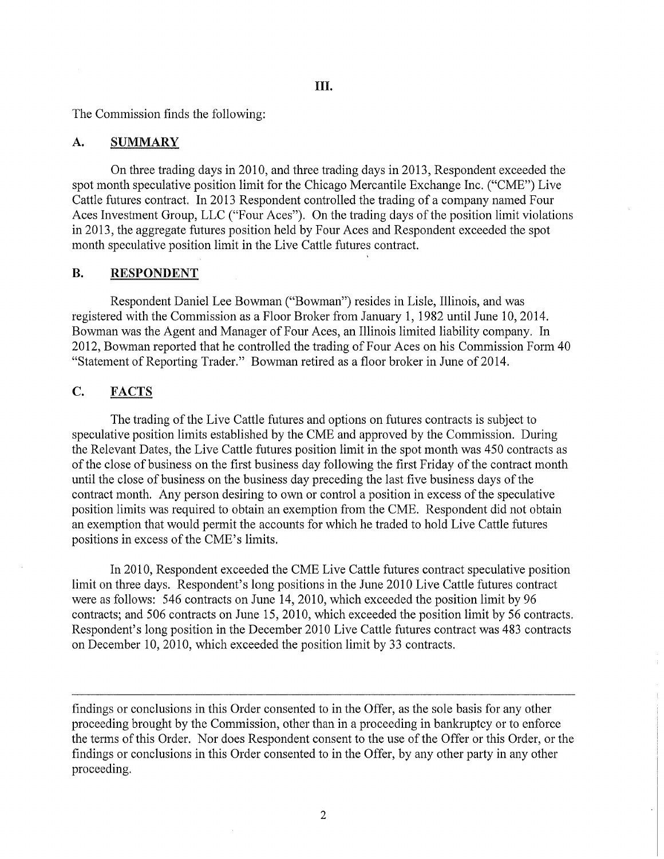The Commission finds the following:

## A. SUMMARY

On three trading days in 2010, and three trading days in 2013, Respondent exceeded the spot month speculative position limit for the Chicago Mercantile Exchange Inc. ("CME") Live Cattle futures contract. In 2013 Respondent controlled the trading of a company named Four Aces Investment Group, LLC ("Four Aces"). On the trading days of the position limit violations in 2013, the aggregate futures position held by Four Aces and Respondent exceeded the spot month speculative position limit in the Live Cattle futures contract.

# B. RESPONDENT

Respondent Daniel Lee Bowman ("Bowman") resides in Lisle, Illinois, and was registered with the Commission as a Floor Broker from January 1, 1982 until June 10, 2014. Bowman was the Agent and Manager of Four Aces, an Illinois limited liability company. In 2012, Bowman reported that he controlled the trading of Four Aces on his Commission Form 40 "Statement of Reporting Trader." Bowman retired as a floor broker in June of 2014.

# C. FACTS

The trading of the Live Cattle futures and options on futures contracts is subject to speculative position limits established by the CME and approved by the Commission. During the Relevant Dates, the Live Cattle futures position limit in the spot month was 450 contracts as of the close of business on the first business day following the first Friday of the contract month until the close of business on the business day preceding the last five business days of the contract month. Any person desiring to own or control a position in excess of the speculative position limits was required to obtain an exemption from the CME. Respondent did not obtain an exemption that would permit the accounts for which he traded to hold Live Cattle futures positions in excess of the CME's limits.

In 2010, Respondent exceeded the CME Live Cattle futures contract speculative position limit on three days. Respondent's long positions in the June 2010 Live Cattle futures contract were as follows: 546 contracts on June 14, 2010, which exceeded the position limit by 96 contracts; and 506 contracts on June 15, 2010, which exceeded the position limit by 56 contracts. Respondent's long position in the December 2010 Live Cattle futures contract was 483 contracts on December 10, 2010, which exceeded the position limit by 33 contracts.

findings or conclusions in this Order consented to in the Offer, as the sole basis for any other proceeding brought by the Commission, other than in a proceeding in bankruptcy or to enforce the terms of this Order. Nor does Respondent consent to the use of the Offer or this Order, or the findings or conclusions in this Order consented to in the Offer, by any other party in any other proceeding.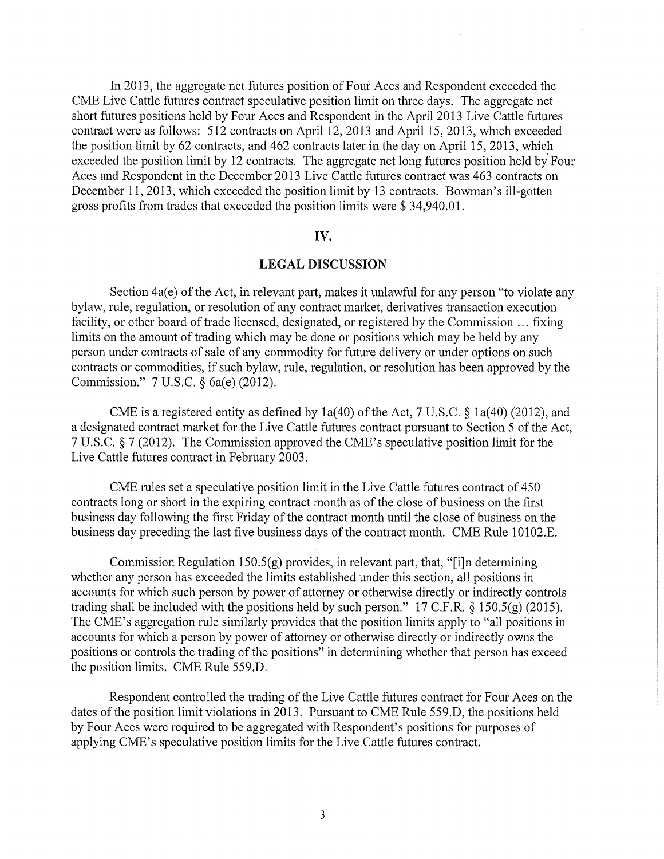In 2013, the aggregate net futures position of Four Aces and Respondent exceeded the CME Live Cattle futures contract speculative position limit on three days. The aggregate net short futures positions held by Four Aces and Respondent in the April2013 Live Cattle futures contract were as follows: 512 contracts on April 12, 2013 and April 15, 2013, which exceeded the position limit by 62 contracts, and 462 contracts later in the day on April 15, 2013, which exceeded the position limit by 12 contracts. The aggregate net long futures position held by Four Aces and Respondent in the December 2013 Live Cattle futures contract was 463 contracts on December 11, 2013, which exceeded the position limit by 13 contracts. Bowman's ill-gotten gross profits from trades that exceeded the position limits were\$ 34,940.01.

#### IV.

#### LEGAL DISCUSSION

Section 4a(e) of the Act, in relevant part, makes it unlawful for any person "to violate any bylaw, rule, regulation, or resolution of any contract market, derivatives transaction execution facility, or other board of trade licensed, designated, or registered by the Commission ... fixing limits on the amount of trading which may be done or positions which may be held by any person under contracts of sale of any commodity for future delivery or under options on such contracts or commodities, if such bylaw, rule, regulation, or resolution has been approved by the Commission." 7 U.S.C. § 6a(e) (2012).

CME is a registered entity as defined by 1a(40) of the Act, 7 U.S.C. § 1a(40) (2012), and a designated contract market for the Live Cattle futures contract pursuant to Section 5 of the Act, 7 U.S.C. § 7 (2012). The Commission approved the CME's speculative position limit for the Live Cattle futures contract in February 2003.

CME rules set a speculative position limit in the Live Cattle futures contract of 450 contracts long or short in the expiring contract month as of the close of business on the first business day following the first Friday of the contract month until the close of business on the business day preceding the last five business days of the contract month. CME Rule 10102.E.

Commission Regulation  $150.5(g)$  provides, in relevant part, that, "[i]n determining whether any person has exceeded the limits established under this section, all positions in accounts for which such person by power of attorney or otherwise directly or indirectly controls trading shall be included with the positions held by such person." 17 C.F.R. § 150.5(g) (2015). The CME's aggregation rule similarly provides that the position limits apply to "all positions in accounts for which a person by power of attorney or otherwise directly or indirectly owns the positions or controls the trading of the positions" in determining whether that person has exceed the position limits. CME Rule 559.D.

Respondent controlled the trading of the Live Cattle futures contract for Four Aces on the dates of the position limit violations in 2013. Pursuant to CME Rule 559.D, the positions held by Four Aces were required to be aggregated with Respondent's positions for purposes of applying CME's speculative position limits for the Live Cattle futures contract.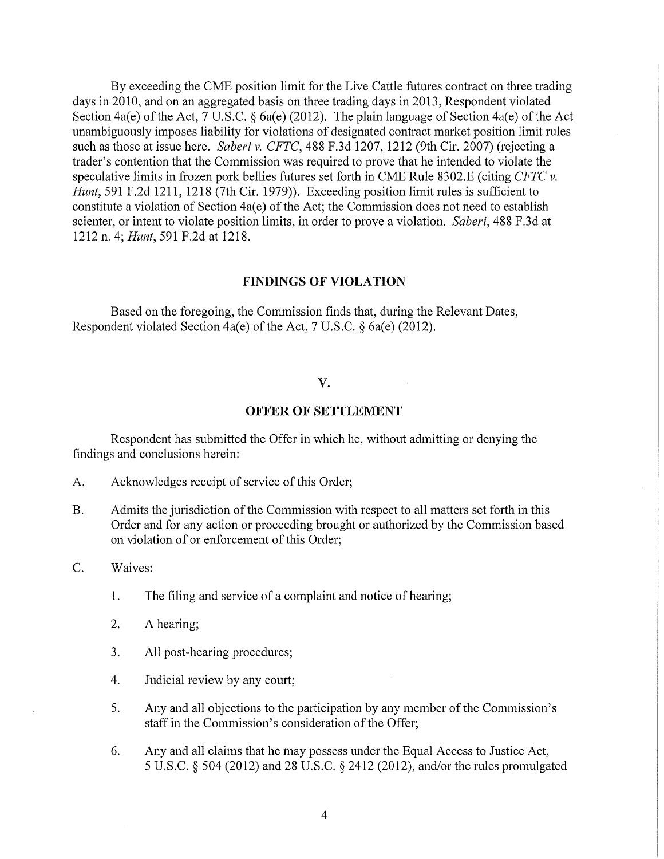By exceeding the CME position limit for the Live Cattle futures contract on three trading days in 2010, and on an aggregated basis on three trading days in 2013, Respondent violated Section 4a(e) of the Act, 7 U.S.C. § 6a(e) (2012). The plain language of Section 4a(e) of the Act unambiguously imposes liability for violations of designated contract market position limit rules such as those at issue here. *Saberi v. CFTC,* 488 F.3d 1207, 1212 (9th Cir. 2007) (rejecting a trader's contention that the Commission was required to prove that he intended to violate the speculative limits in frozen pork bellies futures set forth in CME Rule 8302.E (citing *CFTC v. Hunt,* 591 F.2d 1211, 1218 (7th Cir. 1979)). Exceeding position limit rules is sufficient to constitute a violation of Section 4a(e) of the Act; the Commission does not need to establish scienter, or intent to violate position limits, in order to prove a violation. *Saberi,* 488 F.3d at 1212 n. 4; *Hunt,* 591 F.2d at 1218.

#### FINDINGS OF VIOLATION

Based on the foregoing, the Commission finds that, during the Relevant Dates, Respondent violated Section 4a(e) of the Act, 7 U.S.C. § 6a(e) (2012).

# v.

## **OFFER OF** SETTLEMENT

Respondent has submitted the Offer in which he, without admitting or denying the findings and conclusions herein:

- A. Acknowledges receipt of service of this Order;
- B. Admits the jurisdiction of the Commission with respect to all matters set forth in this Order and for any action or proceeding brought or authorized by the Commission based on violation of or enforcement of this Order;
- C. Waives:
	- 1. The filing and service of a complaint and notice of hearing;
	- 2. A hearing;
	- 3. All post-hearing procedures;
	- 4. Judicial review by any court;
	- 5. Any and all objections to the participation by any member of the Commission's staff in the Commission's consideration of the Offer;
	- 6. Any and all claims that he may possess under the Equal Access to Justice Act, 5 U.S.C. § 504 (2012) and 28 U.S.C. § 2412 (2012), and/or the rules promulgated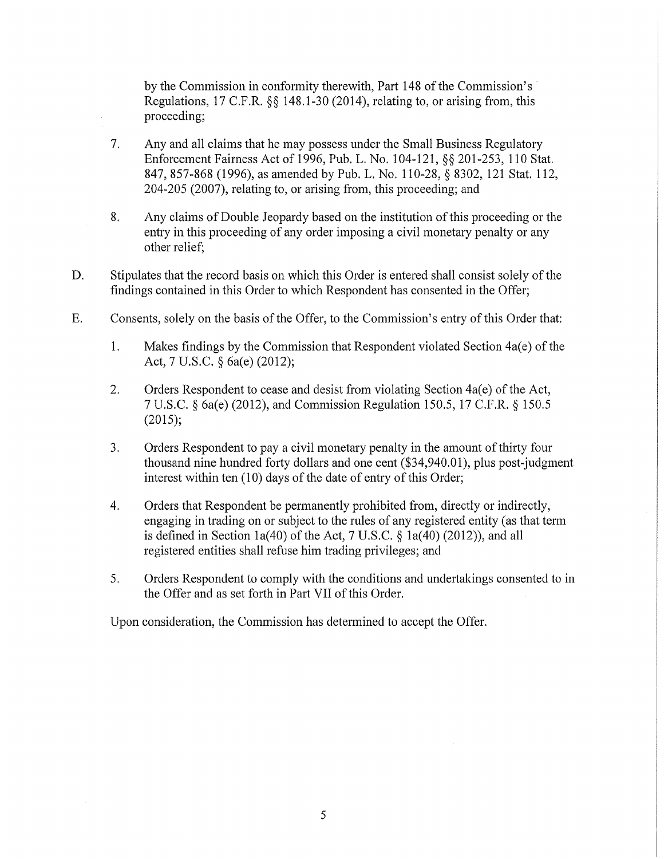by the Commission in conformity therewith, Part 148 of the Commission's Regulations, 17 C.F.R. §§ 148.1-30 (2014), relating to, or arising from, this proceeding;

- 7. Any and all claims that he may possess under the Small Business Regulatory Enforcement Fairness Act of 1996, Pub. L. No. 104-121, §§ 201-253, 110 Stat. 847, 857-868 (1996), as amended by Pub. L. No. 110-28, § 8302, 121 Stat. 112, 204-205 (2007), relating to, or arising from, this proceeding; and
- 8. Any claims ofDouble Jeopardy based on the institution ofthis proceeding or the entry in this proceeding of any order imposing a civil monetary penalty or any other relief;
- D. Stipulates that the record basis on which this Order is entered shall consist solely of the findings contained in this Order to which Respondent has consented in the Offer;
- E. Consents, solely on the basis of the Offer, to the Commission's entry of this Order that:
	- 1. Makes findings by the Commission that Respondent violated Section 4a(e) of the Act, 7 U.S.C. § 6a(e) (2012);
	- 2. Orders Respondent to cease and desist from violating Section  $4a(e)$  of the Act, 7 U.S.C. § 6a(e) (2012), and Commission Regulation 150.5, 17 C.F.R. § 150.5 (2015);
	- 3. Orders Respondent to pay a civil monetary penalty in the amount of thirty four thousand nine hundred forty dollars and one cent (\$34,940.01), plus post-judgment interest within ten  $(10)$  days of the date of entry of this Order;
	- 4. Orders that Respondent be permanently prohibited from, directly or indirectly, engaging in trading on or subject to the rules of any registered entity (as that term is defined in Section 1a(40) of the Act,  $7 \text{ U.S.C.}$  § 1a(40) (2012)), and all registered entities shall refuse him trading privileges; and
	- 5. Orders Respondent to comply with the conditions and undertakings consented to in the Offer and as set forth in Part VII of this Order.

Upon consideration, the Commission has determined to accept the Offer.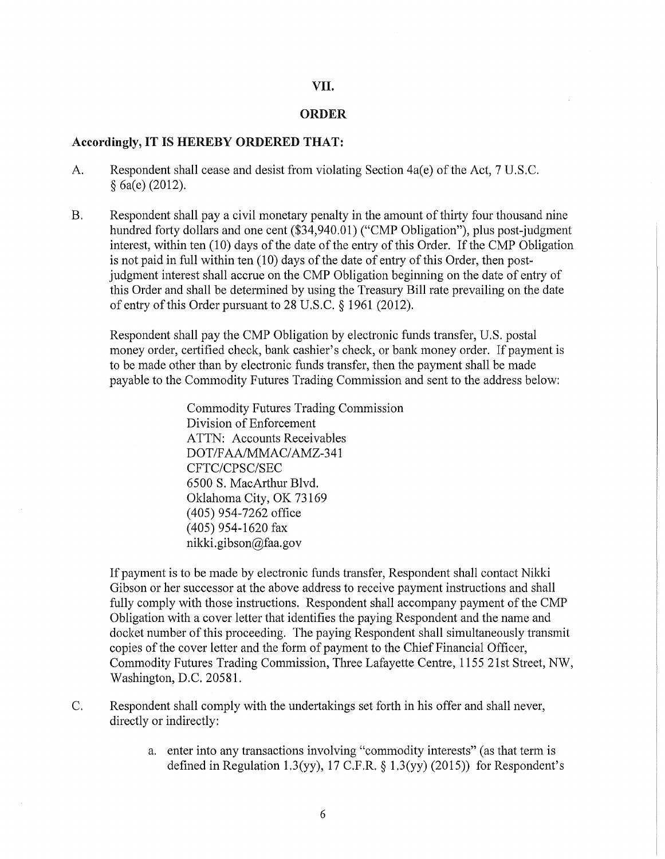# VII.

## ORDER

## Accordingly, IT IS HEREBY ORDERED THAT:

- A. Respondent shall cease and desist from violating Section  $4a(e)$  of the Act, 7 U.S.C. § 6a(e) (2012).
- B. Respondent shall pay a civil monetary penalty in the amount of thirty four thousand nine hundred forty dollars and one cent (\$34,940.01) ("CMP Obligation"), plus post-judgment interest, within ten (10) days of the date of the entry of this Order. If the CMP Obligation is not paid in full within ten  $(10)$  days of the date of entry of this Order, then postjudgment interest shall accrue on the CMP Obligation beginning on the date of entry of this Order and shall be determined by using the Treasury Bill rate prevailing on the date of entry of this Order pursuant to  $28$  U.S.C.  $\S$  1961 (2012).

Respondent shall pay the CMP Obligation by electronic funds transfer, U.S. postal money order, certified check, bank cashier's check, or bank money order. If payment is to be made other than by electronic funds transfer, then the payment shall be made payable to the Commodity Futures Trading Commission and sent to the address below:

> Commodity Futures Trading Commission Division of Enforcement ATTN: Accounts Receivables DOT/FAA/MMAC/AMZ-341 CFTC/CPSC/SEC 6500 S. MacArthur Blvd. Oklahoma City, OK 73169 (405) 954-7262 office (405) 954-1620 fax nikki. gibson@faa. gov

If payment is to be made by electronic funds transfer, Respondent shall contact Nikki Gibson or her successor at the above address to receive payment instructions and shall fully comply with those instructions. Respondent shall accompany payment of the CMP Obligation with a cover letter that identifies the paying Respondent and the name and docket number of this proceeding. The paying Respondent shall simultaneously transmit copies of the cover letter and the form of payment to the Chief Financial Officer, Commodity Futures Trading Commission, Three Lafayette Centre, 1155 21st Street, NW, Washington, D.C. 20581.

- C. Respondent shall comply with the undertakings set forth in his offer and shall never, directly or indirectly:
	- a. enter into any transactions involving "commodity interests" (as that term is defined in Regulation 1.3(yy), 17 C.F.R.  $\S$  1.3(yy) (2015)) for Respondent's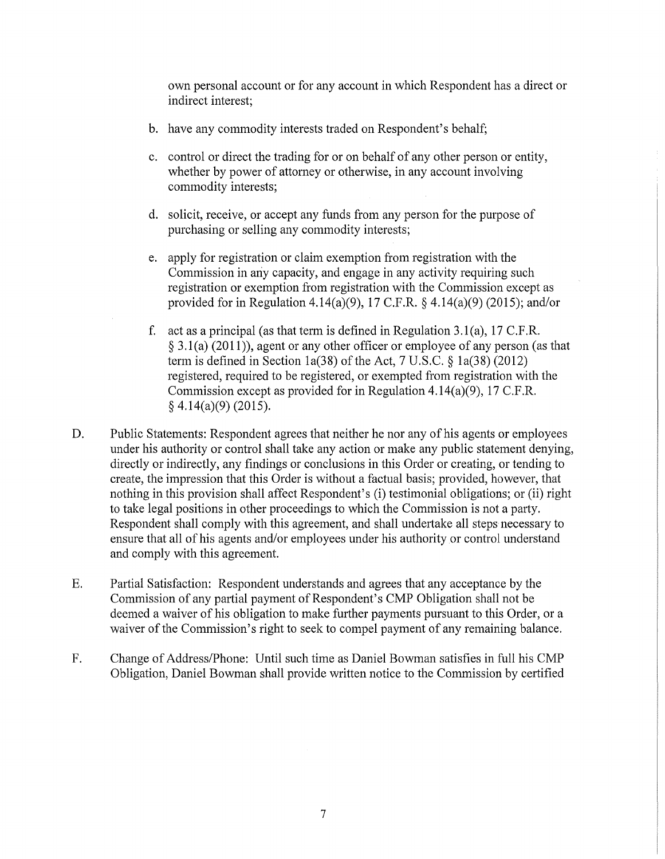own personal account or for any account in which Respondent has a direct or indirect interest;

- b. have any commodity interests traded on Respondent's behalf;
- c. control or direct the trading for or on behalf of any other person or entity, whether by power of attorney or otherwise, in any account involving commodity interests;
- d. solicit, receive, or accept any funds from any person for the purpose of purchasing or selling any commodity interests;
- e. apply for registration or claim exemption from registration with the Commission in any capacity, and engage in any activity requiring such registration or exemption from registration with the Commission except as provided for in Regulation 4.14(a)(9), 17 C.F.R. § 4.14(a)(9) (2015); and/or
- f. act as a principal (as that term is defined in Regulation 3.1(a), 17 C.F.R. § 3.1(a) (2011)), agent or any other officer or employee of any person (as that term is defined in Section 1a(38) of the Act, 7 U.S.C. § 1a(38) (2012) registered, required to be registered, or exempted from registration with the Commission except as provided for in Regulation 4.14(a)(9), 17 C.F.R. § 4.14(a)(9) (2015).
- D. Public Statements: Respondent agrees that neither he nor any of his agents or employees under his authority or control shall take any action or make any public statement denying, directly or indirectly, any findings or conclusions in this Order or creating, or tending to create, the impression that this Order is without a factual basis; provided, however, that nothing in this provision shall affect Respondent's (i) testimonial obligations; or (ii) right to take legal positions in other proceedings to which the Commission is not a party. Respondent shall comply with this agreement, and shall undertake all steps necessary to ensure that all of his agents and/or employees under his authority or control understand and comply with this agreement.
- E. Partial Satisfaction: Respondent understands and agrees that any acceptance by the Commission of any partial payment of Respondent's CMP Obligation shall not be deemed a waiver of his obligation to make further payments pursuant to this Order, or a waiver of the Commission's right to seek to compel payment of any remaining balance.
- F. Change of Address/Phone: Until such time as Daniel Bowman satisfies in full his CMP Obligation, Daniel Bowman shall provide written notice to the Commission by certified